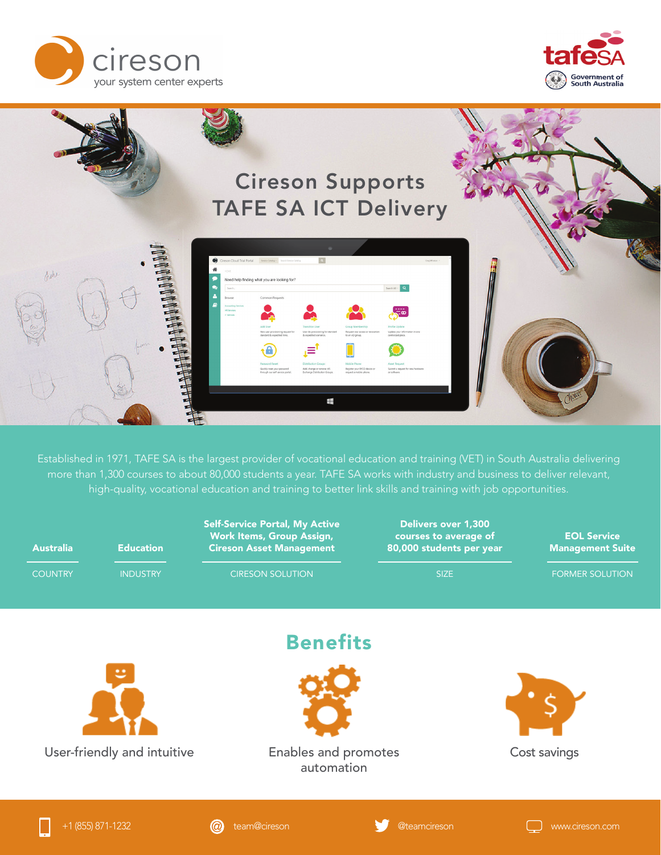





Established in 1971, TAFE SA is the largest provider of vocational education and training (VET) in South Australia delivering more than 1,300 courses to about 80,000 students a year. TAFE SA works with industry and business to deliver relevant, high-quality, vocational education and training to better link skills and training with job opportunities.

| <b>Australia</b> | <b>Education</b>                                    | <b>Self-Service Portal, My Active</b><br>Work Items, Group Assign,<br><b>Cireson Asset Management</b> | <b>Delivers over 1,300</b><br>courses to average of<br>80,000 students per year | <b>EOL Service</b><br><b>Management Suite</b> |
|------------------|-----------------------------------------------------|-------------------------------------------------------------------------------------------------------|---------------------------------------------------------------------------------|-----------------------------------------------|
| <b>COUNTRY</b>   | <b>INDUSTRY</b>                                     | <b>CIRESON SOLUTION</b>                                                                               | <b>SIZE</b>                                                                     | <b>FORMER SOLUTION</b>                        |
|                  | $\ddot{\phantom{1}}$<br>User-friendly and intuitive | <b>Benefits</b><br>Enables and promotes<br>automation                                                 |                                                                                 | Cost savings                                  |

+1 (855) 871-1232 team@cireson @teamcireson www.cireson.com